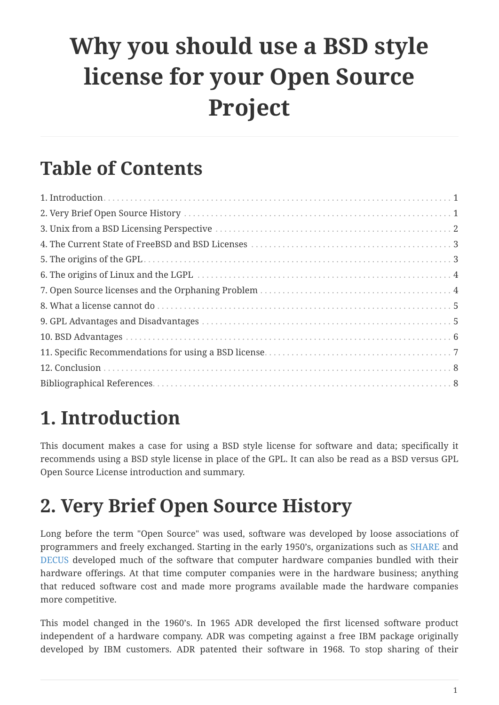# **Why you should use a BSD style license for your Open Source Project**

#### **Table of Contents**

#### <span id="page-0-0"></span>**1. Introduction**

This document makes a case for using a BSD style license for software and data; specifically it recommends using a BSD style license in place of the GPL. It can also be read as a BSD versus GPL Open Source License introduction and summary.

#### <span id="page-0-1"></span>**2. Very Brief Open Source History**

Long before the term "Open Source" was used, software was developed by loose associations of programmers and freely exchanged. Starting in the early 1950's, organizations such as [SHARE](http://www.share.org) and [DECUS](http://www.decus.org) developed much of the software that computer hardware companies bundled with their hardware offerings. At that time computer companies were in the hardware business; anything that reduced software cost and made more programs available made the hardware companies more competitive.

This model changed in the 1960's. In 1965 ADR developed the first licensed software product independent of a hardware company. ADR was competing against a free IBM package originally developed by IBM customers. ADR patented their software in 1968. To stop sharing of their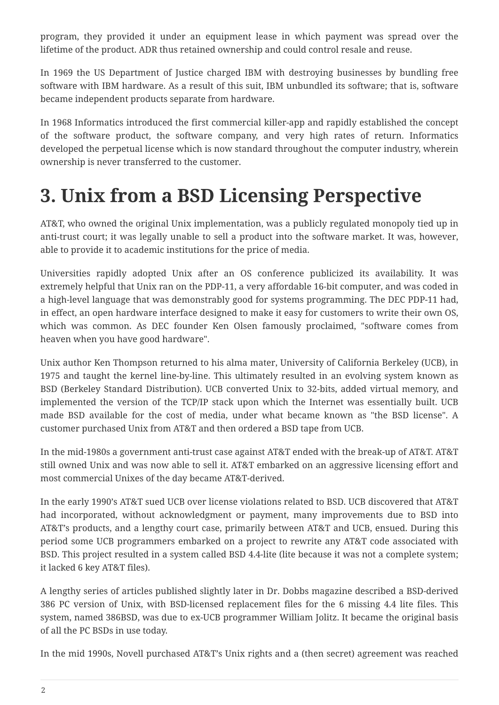program, they provided it under an equipment lease in which payment was spread over the lifetime of the product. ADR thus retained ownership and could control resale and reuse.

In 1969 the US Department of Justice charged IBM with destroying businesses by bundling free software with IBM hardware. As a result of this suit, IBM unbundled its software; that is, software became independent products separate from hardware.

In 1968 Informatics introduced the first commercial killer-app and rapidly established the concept of the software product, the software company, and very high rates of return. Informatics developed the perpetual license which is now standard throughout the computer industry, wherein ownership is never transferred to the customer.

## <span id="page-1-0"></span>**3. Unix from a BSD Licensing Perspective**

AT&T, who owned the original Unix implementation, was a publicly regulated monopoly tied up in anti-trust court; it was legally unable to sell a product into the software market. It was, however, able to provide it to academic institutions for the price of media.

Universities rapidly adopted Unix after an OS conference publicized its availability. It was extremely helpful that Unix ran on the PDP-11, a very affordable 16-bit computer, and was coded in a high-level language that was demonstrably good for systems programming. The DEC PDP-11 had, in effect, an open hardware interface designed to make it easy for customers to write their own OS, which was common. As DEC founder Ken Olsen famously proclaimed, "software comes from heaven when you have good hardware".

Unix author Ken Thompson returned to his alma mater, University of California Berkeley (UCB), in 1975 and taught the kernel line-by-line. This ultimately resulted in an evolving system known as BSD (Berkeley Standard Distribution). UCB converted Unix to 32-bits, added virtual memory, and implemented the version of the TCP/IP stack upon which the Internet was essentially built. UCB made BSD available for the cost of media, under what became known as "the BSD license". A customer purchased Unix from AT&T and then ordered a BSD tape from UCB.

In the mid-1980s a government anti-trust case against AT&T ended with the break-up of AT&T. AT&T still owned Unix and was now able to sell it. AT&T embarked on an aggressive licensing effort and most commercial Unixes of the day became AT&T-derived.

In the early 1990's AT&T sued UCB over license violations related to BSD. UCB discovered that AT&T had incorporated, without acknowledgment or payment, many improvements due to BSD into AT&T's products, and a lengthy court case, primarily between AT&T and UCB, ensued. During this period some UCB programmers embarked on a project to rewrite any AT&T code associated with BSD. This project resulted in a system called BSD 4.4-lite (lite because it was not a complete system; it lacked 6 key AT&T files).

A lengthy series of articles published slightly later in Dr. Dobbs magazine described a BSD-derived 386 PC version of Unix, with BSD-licensed replacement files for the 6 missing 4.4 lite files. This system, named 386BSD, was due to ex-UCB programmer William Jolitz. It became the original basis of all the PC BSDs in use today.

In the mid 1990s, Novell purchased AT&T's Unix rights and a (then secret) agreement was reached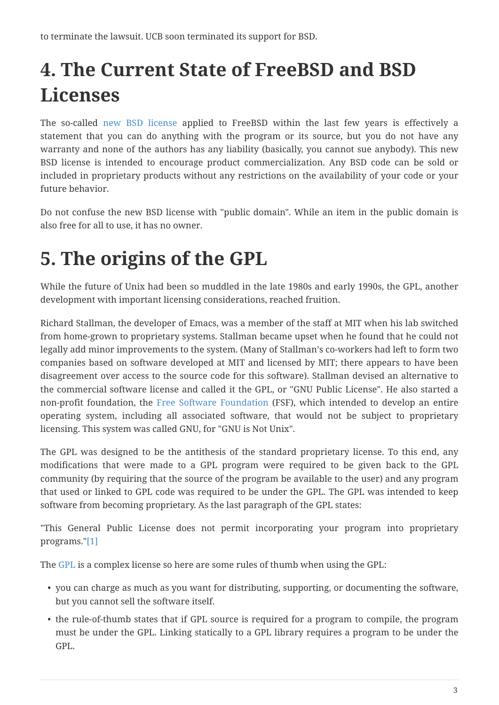# <span id="page-2-0"></span>**4. The Current State of FreeBSD and BSD Licenses**

The so-called [new BSD license](http://www.opensource.org/licenses/bsd-license.php) applied to FreeBSD within the last few years is effectively a statement that you can do anything with the program or its source, but you do not have any warranty and none of the authors has any liability (basically, you cannot sue anybody). This new BSD license is intended to encourage product commercialization. Any BSD code can be sold or included in proprietary products without any restrictions on the availability of your code or your future behavior.

Do not confuse the new BSD license with "public domain". While an item in the public domain is also free for all to use, it has no owner.

## <span id="page-2-1"></span>**5. The origins of the GPL**

While the future of Unix had been so muddled in the late 1980s and early 1990s, the GPL, another development with important licensing considerations, reached fruition.

Richard Stallman, the developer of Emacs, was a member of the staff at MIT when his lab switched from home-grown to proprietary systems. Stallman became upset when he found that he could not legally add minor improvements to the system. (Many of Stallman's co-workers had left to form two companies based on software developed at MIT and licensed by MIT; there appears to have been disagreement over access to the source code for this software). Stallman devised an alternative to the commercial software license and called it the GPL, or "GNU Public License". He also started a non-profit foundation, the [Free Software Foundation](http://www.fsf.org) (FSF), which intended to develop an entire operating system, including all associated software, that would not be subject to proprietary licensing. This system was called GNU, for "GNU is Not Unix".

The GPL was designed to be the antithesis of the standard proprietary license. To this end, any modifications that were made to a GPL program were required to be given back to the GPL community (by requiring that the source of the program be available to the user) and any program that used or linked to GPL code was required to be under the GPL. The GPL was intended to keep software from becoming proprietary. As the last paragraph of the GPL states:

"This General Public License does not permit incorporating your program into proprietary programs."[\[1\]](#page-7-2)

The [GPL](http://www.opensource.org/licenses/gpl-license.php) is a complex license so here are some rules of thumb when using the GPL:

- you can charge as much as you want for distributing, supporting, or documenting the software, but you cannot sell the software itself.
- the rule-of-thumb states that if GPL source is required for a program to compile, the program must be under the GPL. Linking statically to a GPL library requires a program to be under the GPL.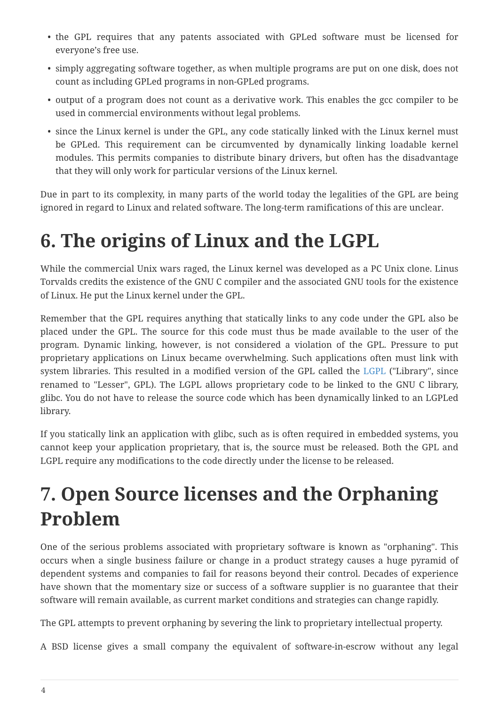- the GPL requires that any patents associated with GPLed software must be licensed for everyone's free use.
- simply aggregating software together, as when multiple programs are put on one disk, does not count as including GPLed programs in non-GPLed programs.
- output of a program does not count as a derivative work. This enables the gcc compiler to be used in commercial environments without legal problems.
- since the Linux kernel is under the GPL, any code statically linked with the Linux kernel must be GPLed. This requirement can be circumvented by dynamically linking loadable kernel modules. This permits companies to distribute binary drivers, but often has the disadvantage that they will only work for particular versions of the Linux kernel.

Due in part to its complexity, in many parts of the world today the legalities of the GPL are being ignored in regard to Linux and related software. The long-term ramifications of this are unclear.

#### <span id="page-3-0"></span>**6. The origins of Linux and the LGPL**

While the commercial Unix wars raged, the Linux kernel was developed as a PC Unix clone. Linus Torvalds credits the existence of the GNU C compiler and the associated GNU tools for the existence of Linux. He put the Linux kernel under the GPL.

Remember that the GPL requires anything that statically links to any code under the GPL also be placed under the GPL. The source for this code must thus be made available to the user of the program. Dynamic linking, however, is not considered a violation of the GPL. Pressure to put proprietary applications on Linux became overwhelming. Such applications often must link with system libraries. This resulted in a modified version of the GPL called the [LGPL](http://www.opensource.org/licenses/lgpl-license.php) ("Library", since renamed to "Lesser", GPL). The LGPL allows proprietary code to be linked to the GNU C library, glibc. You do not have to release the source code which has been dynamically linked to an LGPLed library.

If you statically link an application with glibc, such as is often required in embedded systems, you cannot keep your application proprietary, that is, the source must be released. Both the GPL and LGPL require any modifications to the code directly under the license to be released.

## <span id="page-3-1"></span>**7. Open Source licenses and the Orphaning Problem**

One of the serious problems associated with proprietary software is known as "orphaning". This occurs when a single business failure or change in a product strategy causes a huge pyramid of dependent systems and companies to fail for reasons beyond their control. Decades of experience have shown that the momentary size or success of a software supplier is no guarantee that their software will remain available, as current market conditions and strategies can change rapidly.

The GPL attempts to prevent orphaning by severing the link to proprietary intellectual property.

A BSD license gives a small company the equivalent of software-in-escrow without any legal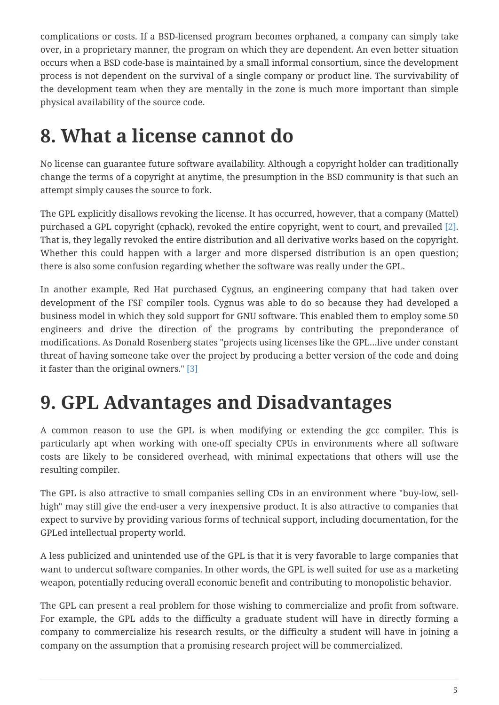complications or costs. If a BSD-licensed program becomes orphaned, a company can simply take over, in a proprietary manner, the program on which they are dependent. An even better situation occurs when a BSD code-base is maintained by a small informal consortium, since the development process is not dependent on the survival of a single company or product line. The survivability of the development team when they are mentally in the zone is much more important than simple physical availability of the source code.

#### <span id="page-4-0"></span>**8. What a license cannot do**

No license can guarantee future software availability. Although a copyright holder can traditionally change the terms of a copyright at anytime, the presumption in the BSD community is that such an attempt simply causes the source to fork.

The GPL explicitly disallows revoking the license. It has occurred, however, that a company (Mattel) purchased a GPL copyright (cphack), revoked the entire copyright, went to court, and prevailed [\[2\]](#page-7-3). That is, they legally revoked the entire distribution and all derivative works based on the copyright. Whether this could happen with a larger and more dispersed distribution is an open question; there is also some confusion regarding whether the software was really under the GPL.

In another example, Red Hat purchased Cygnus, an engineering company that had taken over development of the FSF compiler tools. Cygnus was able to do so because they had developed a business model in which they sold support for GNU software. This enabled them to employ some 50 engineers and drive the direction of the programs by contributing the preponderance of modifications. As Donald Rosenberg states "projects using licenses like the GPL…live under constant threat of having someone take over the project by producing a better version of the code and doing it faster than the original owners." [\[3\]](#page-7-4)

#### <span id="page-4-1"></span>**9. GPL Advantages and Disadvantages**

A common reason to use the GPL is when modifying or extending the gcc compiler. This is particularly apt when working with one-off specialty CPUs in environments where all software costs are likely to be considered overhead, with minimal expectations that others will use the resulting compiler.

The GPL is also attractive to small companies selling CDs in an environment where "buy-low, sellhigh" may still give the end-user a very inexpensive product. It is also attractive to companies that expect to survive by providing various forms of technical support, including documentation, for the GPLed intellectual property world.

A less publicized and unintended use of the GPL is that it is very favorable to large companies that want to undercut software companies. In other words, the GPL is well suited for use as a marketing weapon, potentially reducing overall economic benefit and contributing to monopolistic behavior.

The GPL can present a real problem for those wishing to commercialize and profit from software. For example, the GPL adds to the difficulty a graduate student will have in directly forming a company to commercialize his research results, or the difficulty a student will have in joining a company on the assumption that a promising research project will be commercialized.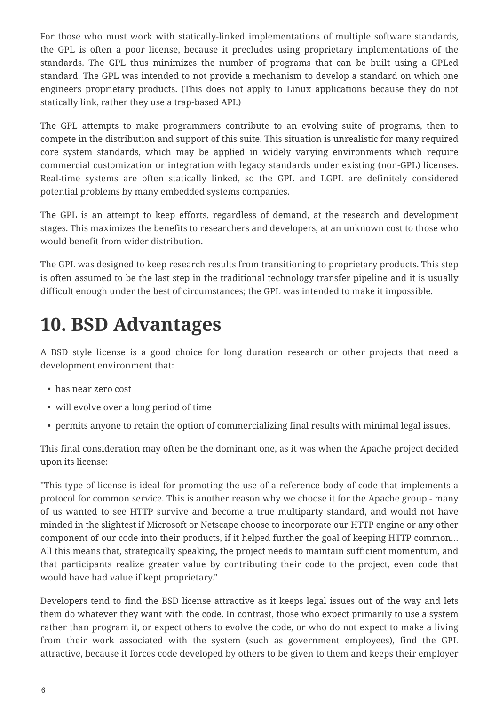For those who must work with statically-linked implementations of multiple software standards, the GPL is often a poor license, because it precludes using proprietary implementations of the standards. The GPL thus minimizes the number of programs that can be built using a GPLed standard. The GPL was intended to not provide a mechanism to develop a standard on which one engineers proprietary products. (This does not apply to Linux applications because they do not statically link, rather they use a trap-based API.)

The GPL attempts to make programmers contribute to an evolving suite of programs, then to compete in the distribution and support of this suite. This situation is unrealistic for many required core system standards, which may be applied in widely varying environments which require commercial customization or integration with legacy standards under existing (non-GPL) licenses. Real-time systems are often statically linked, so the GPL and LGPL are definitely considered potential problems by many embedded systems companies.

The GPL is an attempt to keep efforts, regardless of demand, at the research and development stages. This maximizes the benefits to researchers and developers, at an unknown cost to those who would benefit from wider distribution.

The GPL was designed to keep research results from transitioning to proprietary products. This step is often assumed to be the last step in the traditional technology transfer pipeline and it is usually difficult enough under the best of circumstances; the GPL was intended to make it impossible.

## <span id="page-5-0"></span>**10. BSD Advantages**

A BSD style license is a good choice for long duration research or other projects that need a development environment that:

- has near zero cost
- will evolve over a long period of time
- permits anyone to retain the option of commercializing final results with minimal legal issues.

This final consideration may often be the dominant one, as it was when the Apache project decided upon its license:

"This type of license is ideal for promoting the use of a reference body of code that implements a protocol for common service. This is another reason why we choose it for the Apache group - many of us wanted to see HTTP survive and become a true multiparty standard, and would not have minded in the slightest if Microsoft or Netscape choose to incorporate our HTTP engine or any other component of our code into their products, if it helped further the goal of keeping HTTP common… All this means that, strategically speaking, the project needs to maintain sufficient momentum, and that participants realize greater value by contributing their code to the project, even code that would have had value if kept proprietary."

Developers tend to find the BSD license attractive as it keeps legal issues out of the way and lets them do whatever they want with the code. In contrast, those who expect primarily to use a system rather than program it, or expect others to evolve the code, or who do not expect to make a living from their work associated with the system (such as government employees), find the GPL attractive, because it forces code developed by others to be given to them and keeps their employer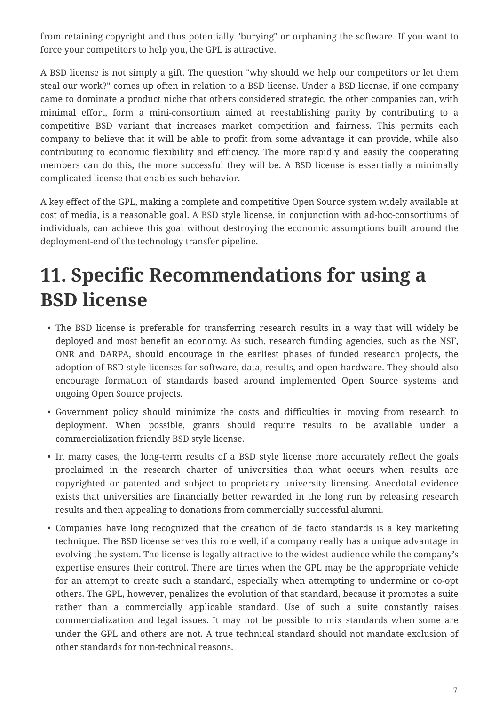from retaining copyright and thus potentially "burying" or orphaning the software. If you want to force your competitors to help you, the GPL is attractive.

A BSD license is not simply a gift. The question "why should we help our competitors or let them steal our work?" comes up often in relation to a BSD license. Under a BSD license, if one company came to dominate a product niche that others considered strategic, the other companies can, with minimal effort, form a mini-consortium aimed at reestablishing parity by contributing to a competitive BSD variant that increases market competition and fairness. This permits each company to believe that it will be able to profit from some advantage it can provide, while also contributing to economic flexibility and efficiency. The more rapidly and easily the cooperating members can do this, the more successful they will be. A BSD license is essentially a minimally complicated license that enables such behavior.

A key effect of the GPL, making a complete and competitive Open Source system widely available at cost of media, is a reasonable goal. A BSD style license, in conjunction with ad-hoc-consortiums of individuals, can achieve this goal without destroying the economic assumptions built around the deployment-end of the technology transfer pipeline.

## <span id="page-6-0"></span>**11. Specific Recommendations for using a BSD license**

- The BSD license is preferable for transferring research results in a way that will widely be deployed and most benefit an economy. As such, research funding agencies, such as the NSF, ONR and DARPA, should encourage in the earliest phases of funded research projects, the adoption of BSD style licenses for software, data, results, and open hardware. They should also encourage formation of standards based around implemented Open Source systems and ongoing Open Source projects.
- Government policy should minimize the costs and difficulties in moving from research to deployment. When possible, grants should require results to be available under a commercialization friendly BSD style license.
- In many cases, the long-term results of a BSD style license more accurately reflect the goals proclaimed in the research charter of universities than what occurs when results are copyrighted or patented and subject to proprietary university licensing. Anecdotal evidence exists that universities are financially better rewarded in the long run by releasing research results and then appealing to donations from commercially successful alumni.
- Companies have long recognized that the creation of de facto standards is a key marketing technique. The BSD license serves this role well, if a company really has a unique advantage in evolving the system. The license is legally attractive to the widest audience while the company's expertise ensures their control. There are times when the GPL may be the appropriate vehicle for an attempt to create such a standard, especially when attempting to undermine or co-opt others. The GPL, however, penalizes the evolution of that standard, because it promotes a suite rather than a commercially applicable standard. Use of such a suite constantly raises commercialization and legal issues. It may not be possible to mix standards when some are under the GPL and others are not. A true technical standard should not mandate exclusion of other standards for non-technical reasons.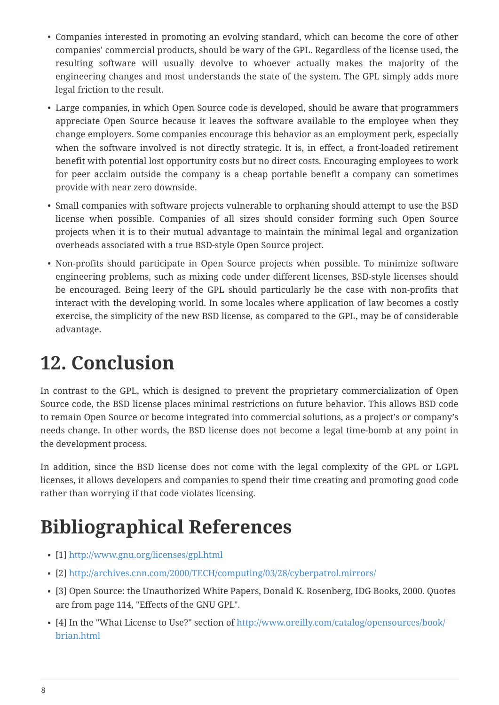- Companies interested in promoting an evolving standard, which can become the core of other companies' commercial products, should be wary of the GPL. Regardless of the license used, the resulting software will usually devolve to whoever actually makes the majority of the engineering changes and most understands the state of the system. The GPL simply adds more legal friction to the result.
- Large companies, in which Open Source code is developed, should be aware that programmers appreciate Open Source because it leaves the software available to the employee when they change employers. Some companies encourage this behavior as an employment perk, especially when the software involved is not directly strategic. It is, in effect, a front-loaded retirement benefit with potential lost opportunity costs but no direct costs. Encouraging employees to work for peer acclaim outside the company is a cheap portable benefit a company can sometimes provide with near zero downside.
- Small companies with software projects vulnerable to orphaning should attempt to use the BSD license when possible. Companies of all sizes should consider forming such Open Source projects when it is to their mutual advantage to maintain the minimal legal and organization overheads associated with a true BSD-style Open Source project.
- Non-profits should participate in Open Source projects when possible. To minimize software engineering problems, such as mixing code under different licenses, BSD-style licenses should be encouraged. Being leery of the GPL should particularly be the case with non-profits that interact with the developing world. In some locales where application of law becomes a costly exercise, the simplicity of the new BSD license, as compared to the GPL, may be of considerable advantage.

## <span id="page-7-0"></span>**12. Conclusion**

In contrast to the GPL, which is designed to prevent the proprietary commercialization of Open Source code, the BSD license places minimal restrictions on future behavior. This allows BSD code to remain Open Source or become integrated into commercial solutions, as a project's or company's needs change. In other words, the BSD license does not become a legal time-bomb at any point in the development process.

In addition, since the BSD license does not come with the legal complexity of the GPL or LGPL licenses, it allows developers and companies to spend their time creating and promoting good code rather than worrying if that code violates licensing.

# <span id="page-7-1"></span>**Bibliographical References**

- <span id="page-7-2"></span>▪ [1]<http://www.gnu.org/licenses/gpl.html>
- <span id="page-7-3"></span>▪ [2]<http://archives.cnn.com/2000/TECH/computing/03/28/cyberpatrol.mirrors/>
- <span id="page-7-4"></span>▪ [3] Open Source: the Unauthorized White Papers, Donald K. Rosenberg, IDG Books, 2000. Quotes are from page 114, "Effects of the GNU GPL".
- [4] In the "What License to Use?" section of [http://www.oreilly.com/catalog/opensources/book/](http://www.oreilly.com/catalog/opensources/book/brian.html) [brian.html](http://www.oreilly.com/catalog/opensources/book/brian.html)